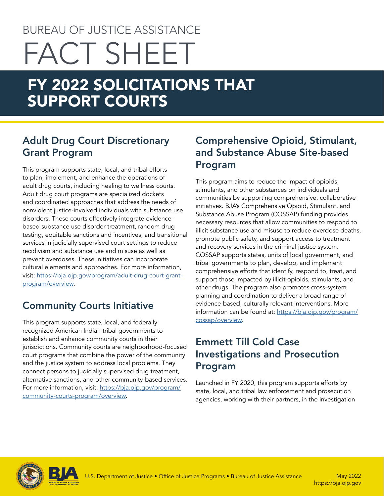# BUREAU OF JUSTICE ASSISTANCE FACT SHEET

## FY 2022 SOLICITATIONS THAT SUPPORT COURTS

#### Adult Drug Court Discretionary Grant Program

This program supports state, local, and tribal efforts to plan, implement, and enhance the operations of adult drug courts, including healing to wellness courts. Adult drug court programs are specialized dockets and coordinated approaches that address the needs of nonviolent justice-involved individuals with substance use disorders. These courts effectively integrate evidencebased substance use disorder treatment, random drug testing, equitable sanctions and incentives, and transitional services in judicially supervised court settings to reduce recidivism and substance use and misuse as well as prevent overdoses. These initiatives can incorporate cultural elements and approaches. For more information, visit: [https://bja.ojp.gov/program/adult-drug-court-grant](https://bja.ojp.gov/program/adult-drug-court-grant-program/overview)[program/overview](https://bja.ojp.gov/program/adult-drug-court-grant-program/overview).

### Community Courts Initiative

This program supports state, local, and federally recognized American Indian tribal governments to establish and enhance community courts in their jurisdictions. Community courts are neighborhood-focused court programs that combine the power of the community and the justice system to address local problems. They connect persons to judicially supervised drug treatment, alternative sanctions, and other community-based services. For more information, visit: [https://bja.ojp.gov/program/](https://bja.ojp.gov/program/community-courts-program/overview) [community-courts-program/overview](https://bja.ojp.gov/program/community-courts-program/overview).

#### Comprehensive Opioid, Stimulant, and Substance Abuse Site-based Program

This program aims to reduce the impact of opioids, stimulants, and other substances on individuals and communities by supporting comprehensive, collaborative initiatives. BJA's Comprehensive Opioid, Stimulant, and Substance Abuse Program (COSSAP) funding provides necessary resources that allow communities to respond to illicit substance use and misuse to reduce overdose deaths, promote public safety, and support access to treatment and recovery services in the criminal justice system. COSSAP supports states, units of local government, and tribal governments to plan, develop, and implement comprehensive efforts that identify, respond to, treat, and support those impacted by illicit opioids, stimulants, and other drugs. The program also promotes cross-system planning and coordination to deliver a broad range of evidence-based, culturally relevant interventions. More information can be found at: [https://bja.ojp.gov/program/](https://bja.ojp.gov/program/cossap/overview) [cossap/overview](https://bja.ojp.gov/program/cossap/overview).

#### Emmett Till Cold Case Investigations and Prosecution Program

Launched in FY 2020, this program supports efforts by state, local, and tribal law enforcement and prosecution agencies, working with their partners, in the investigation



<https://bja.ojp.gov>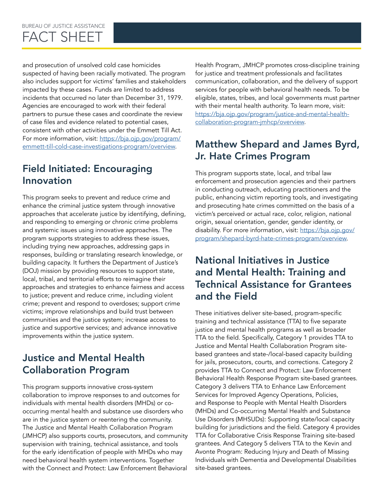## FACT SHEET

and prosecution of unsolved cold case homicides suspected of having been racially motivated. The program also includes support for victims' families and stakeholders impacted by these cases. Funds are limited to address incidents that occurred no later than December 31, 1979. Agencies are encouraged to work with their federal partners to pursue these cases and coordinate the review of case files and evidence related to potential cases, consistent with other activities under the Emmett Till Act. For more information, visit: [https://bja.ojp.gov/program/](https://bja.ojp.gov/program/emmett-till-cold-case-investigations-program/overview) [emmett-till-cold-case-investigations-program/overview](https://bja.ojp.gov/program/emmett-till-cold-case-investigations-program/overview).

#### Field Initiated: Encouraging Innovation

This program seeks to prevent and reduce crime and enhance the criminal justice system through innovative approaches that accelerate justice by identifying, defining, and responding to emerging or chronic crime problems and systemic issues using innovative approaches. The program supports strategies to address these issues, including trying new approaches, addressing gaps in responses, building or translating research knowledge, or building capacity. It furthers the Department of Justice's (DOJ) mission by providing resources to support state, local, tribal, and territorial efforts to reimagine their approaches and strategies to enhance fairness and access to justice; prevent and reduce crime, including violent crime; prevent and respond to overdoses; support crime victims; improve relationships and build trust between communities and the justice system; increase access to justice and supportive services; and advance innovative improvements within the justice system.

#### Justice and Mental Health Collaboration Program

This program supports innovative cross-system collaboration to improve responses to and outcomes for individuals with mental health disorders (MHDs) or cooccurring mental health and substance use disorders who are in the justice system or reentering the community. The Justice and Mental Health Collaboration Program (JMHCP) also supports courts, prosecutors, and community supervision with training, technical assistance, and tools for the early identification of people with MHDs who may need behavioral health system interventions. Together with the Connect and Protect: Law Enforcement Behavioral

Health Program, JMHCP promotes cross-discipline training for justice and treatment professionals and facilitates communication, collaboration, and the delivery of support services for people with behavioral health needs. To be eligible, states, tribes, and local governments must partner with their mental health authority. To learn more, visit: [https://bja.ojp.gov/program/justice-and-mental-health](https://bja.ojp.gov/program/justice-and-mental-health-collaboration-program-jmhcp/overview)[collaboration-program-jmhcp/overview](https://bja.ojp.gov/program/justice-and-mental-health-collaboration-program-jmhcp/overview).

#### Matthew Shepard and James Byrd, Jr. Hate Crimes Program

This program supports state, local, and tribal law enforcement and prosecution agencies and their partners in conducting outreach, educating practitioners and the public, enhancing victim reporting tools, and investigating and prosecuting hate crimes committed on the basis of a victim's perceived or actual race, color, religion, national origin, sexual orientation, gender, gender identity, or disability. For more information, visit: [https://bja.ojp.gov/](https://bja.ojp.gov/program/shepard-byrd-hate-crimes-program/overview) [program/shepard-byrd-hate-crimes-program/overview.](https://bja.ojp.gov/program/shepard-byrd-hate-crimes-program/overview)

#### National Initiatives in Justice and Mental Health: Training and Technical Assistance for Grantees and the Field

These initiatives deliver site-based, program-specific training and technical assistance (TTA) to five separate justice and mental health programs as well as broader TTA to the field. Specifically, Category 1 provides TTA to Justice and Mental Health Collaboration Program sitebased grantees and state-/local-based capacity building for jails, prosecutors, courts, and corrections. Category 2 provides TTA to Connect and Protect: Law Enforcement Behavioral Health Response Program site-based grantees. Category 3 delivers TTA to Enhance Law Enforcement Services for Improved Agency Operations, Policies, and Response to People with Mental Health Disorders (MHDs) and Co-occurring Mental Health and Substance Use Disorders (MHSUDs): Supporting state/local capacity building for jurisdictions and the field. Category 4 provides TTA for Collaborative Crisis Response Training site-based grantees. And Category 5 delivers TTA to the Kevin and Avonte Program: Reducing Injury and Death of Missing Individuals with Dementia and Developmental Disabilities site-based grantees.